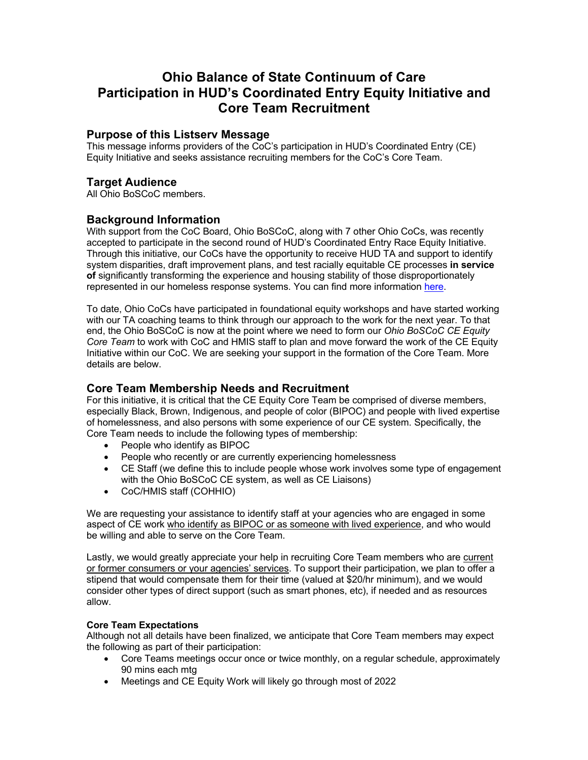# **Ohio Balance of State Continuum of Care Participation in HUD's Coordinated Entry Equity Initiative and Core Team Recruitment**

### **Purpose of this Listserv Message**

This message informs providers of the CoC's participation in HUD's Coordinated Entry (CE) Equity Initiative and seeks assistance recruiting members for the CoC's Core Team.

### **Target Audience**

All Ohio BoSCoC members.

### **Background Information**

With support from the CoC Board, Ohio BoSCoC, along with 7 other Ohio CoCs, was recently accepted to participate in the second round of HUD's Coordinated Entry Race Equity Initiative. Through this initiative, our CoCs have the opportunity to receive HUD TA and support to identify system disparities, draft improvement plans, and test racially equitable CE processes **in service of** significantly transforming the experience and housing stability of those disproportionately represented in our homeless response systems. You can find more information here.

To date, Ohio CoCs have participated in foundational equity workshops and have started working with our TA coaching teams to think through our approach to the work for the next year. To that end, the Ohio BoSCoC is now at the point where we need to form our *Ohio BoSCoC CE Equity Core Team* to work with CoC and HMIS staff to plan and move forward the work of the CE Equity Initiative within our CoC. We are seeking your support in the formation of the Core Team. More details are below.

## **Core Team Membership Needs and Recruitment**

For this initiative, it is critical that the CE Equity Core Team be comprised of diverse members, especially Black, Brown, Indigenous, and people of color (BIPOC) and people with lived expertise of homelessness, and also persons with some experience of our CE system. Specifically, the Core Team needs to include the following types of membership:

- People who identify as BIPOC
- People who recently or are currently experiencing homelessness
- CE Staff (we define this to include people whose work involves some type of engagement with the Ohio BoSCoC CE system, as well as CE Liaisons)
- CoC/HMIS staff (COHHIO)

We are requesting your assistance to identify staff at your agencies who are engaged in some aspect of CE work who identify as BIPOC or as someone with lived experience, and who would be willing and able to serve on the Core Team.

Lastly, we would greatly appreciate your help in recruiting Core Team members who are current or former consumers or your agencies' services. To support their participation, we plan to offer a stipend that would compensate them for their time (valued at \$20/hr minimum), and we would consider other types of direct support (such as smart phones, etc), if needed and as resources allow.

#### **Core Team Expectations**

Although not all details have been finalized, we anticipate that Core Team members may expect the following as part of their participation:

- Core Teams meetings occur once or twice monthly, on a regular schedule, approximately 90 mins each mtg
- Meetings and CE Equity Work will likely go through most of 2022